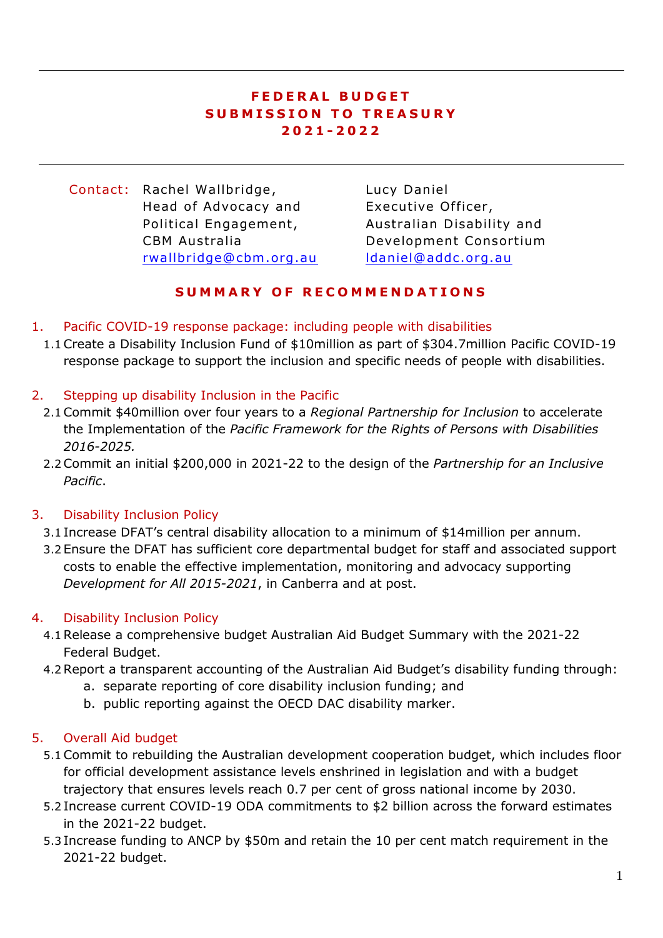### **F E D E R A L B U D G E T S U B M I S S I O N T O T R E A S U R Y 2021 - 2022**

Contact: Rachel Wallbridge, Head of Advocacy and Political Engagement, CBM Australia [rwallbridge@cbm .org .au](mailto:rwallbridge@cbm.org.au)

Lucy Daniel Executive Officer, Australian Disability and Development Consortium [ldaniel@addc .org.au](mailto:ldaniel@addc.org.au)

## **S U M M A R Y O F R E C O M M E N D A T I O N S**

- 1. Pacific COVID-19 response package: including people with disabilities
- 1.1Create a Disability Inclusion Fund of \$10million as part of \$304.7million Pacific COVID-19 response package to support the inclusion and specific needs of people with disabilities.

### 2. Stepping up disability Inclusion in the Pacific

- 2.1Commit \$40million over four years to a *Regional Partnership for Inclusion* to accelerate the Implementation of the *Pacific Framework for the Rights of Persons with Disabilities 2016-2025.*
- 2.2Commit an initial \$200,000 in 2021-22 to the design of the *Partnership for an Inclusive Pacific*.

### 3. Disability Inclusion Policy

- 3.1 Increase DFAT's central disability allocation to a minimum of \$14million per annum.
- 3.2 Ensure the DFAT has sufficient core departmental budget for staff and associated support costs to enable the effective implementation, monitoring and advocacy supporting *Development for All 2015-2021*, in Canberra and at post.

### 4. Disability Inclusion Policy

- 4.1Release a comprehensive budget Australian Aid Budget Summary with the 2021-22 Federal Budget.
- 4.2Report a transparent accounting of the Australian Aid Budget's disability funding through:
	- a. separate reporting of core disability inclusion funding; and
	- b. public reporting against the OECD DAC disability marker.

### 5. Overall Aid budget

- 5.1Commit to rebuilding the Australian development cooperation budget, which includes floor for official development assistance levels enshrined in legislation and with a budget trajectory that ensures levels reach 0.7 per cent of gross national income by 2030.
- 5.2 Increase current COVID-19 ODA commitments to \$2 billion across the forward estimates in the 2021-22 budget.
- 5.3 Increase funding to ANCP by \$50m and retain the 10 per cent match requirement in the 2021-22 budget.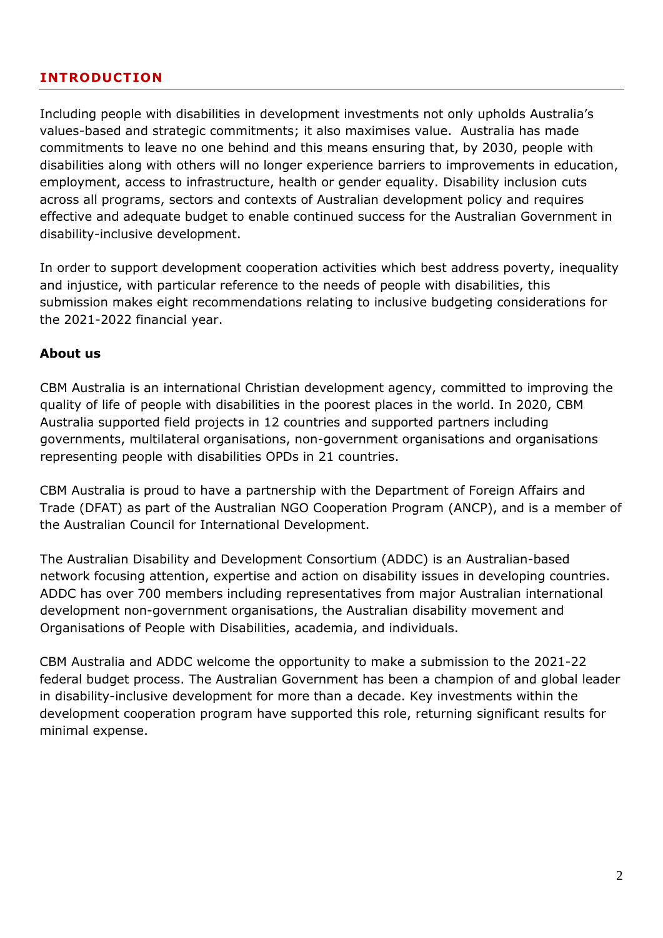## **INTRODUCTION**

Including people with disabilities in development investments not only upholds Australia's values-based and strategic commitments; it also maximises value. Australia has made commitments to leave no one behind and this means ensuring that, by 2030, people with disabilities along with others will no longer experience barriers to improvements in education, employment, access to infrastructure, health or gender equality. Disability inclusion cuts across all programs, sectors and contexts of Australian development policy and requires effective and adequate budget to enable continued success for the Australian Government in disability-inclusive development.

In order to support development cooperation activities which best address poverty, inequality and injustice, with particular reference to the needs of people with disabilities, this submission makes eight recommendations relating to inclusive budgeting considerations for the 2021-2022 financial year.

#### **About us**

CBM Australia is an international Christian development agency, committed to improving the quality of life of people with disabilities in the poorest places in the world. In 2020, CBM Australia supported field projects in 12 countries and supported partners including governments, multilateral organisations, non-government organisations and organisations representing people with disabilities OPDs in 21 countries.

CBM Australia is proud to have a partnership with the Department of Foreign Affairs and Trade (DFAT) as part of the Australian NGO Cooperation Program (ANCP), and is a member of the Australian Council for International Development.

The Australian Disability and Development Consortium (ADDC) is an Australian-based network focusing attention, expertise and action on disability issues in developing countries. ADDC has over 700 members including representatives from major Australian international development non-government organisations, the Australian disability movement and Organisations of People with Disabilities, academia, and individuals.

CBM Australia and ADDC welcome the opportunity to make a submission to the 2021-22 federal budget process. The Australian Government has been a champion of and global leader in disability-inclusive development for more than a decade. Key investments within the development cooperation program have supported this role, returning significant results for minimal expense.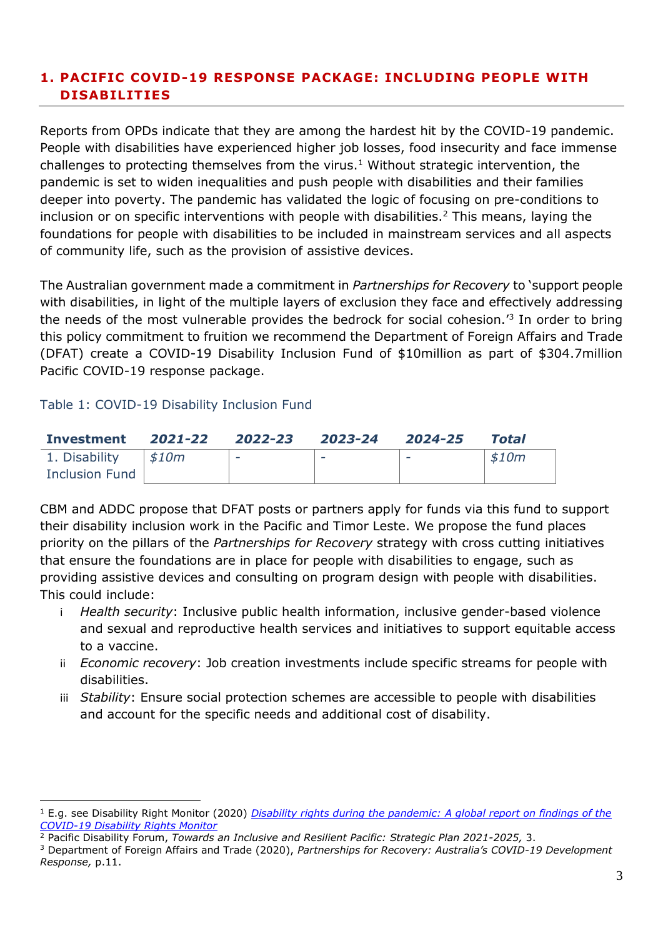## **1. PACIFIC COVID-19 RESPONSE PACKAGE: INCLUDING PEOPLE WITH DISABILITIES**

Reports from OPDs indicate that they are among the hardest hit by the COVID-19 pandemic. People with disabilities have experienced higher job losses, food insecurity and face immense challenges to protecting themselves from the virus.<sup>1</sup> Without strategic intervention, the pandemic is set to widen inequalities and push people with disabilities and their families deeper into poverty. The pandemic has validated the logic of focusing on pre-conditions to inclusion or on specific interventions with people with disabilities.<sup>2</sup> This means, laying the foundations for people with disabilities to be included in mainstream services and all aspects of community life, such as the provision of assistive devices.

The Australian government made a commitment in *Partnerships for Recovery* to 'support people with disabilities, in light of the multiple layers of exclusion they face and effectively addressing the needs of the most vulnerable provides the bedrock for social cohesion.<sup>'3</sup> In order to bring this policy commitment to fruition we recommend the Department of Foreign Affairs and Trade (DFAT) create a COVID-19 Disability Inclusion Fund of \$10million as part of \$304.7million Pacific COVID-19 response package.

#### Table 1: COVID-19 Disability Inclusion Fund

1

| Investment 2021-22 2022-23 |                     |   | 2023-24 | 2024-25 | Total |
|----------------------------|---------------------|---|---------|---------|-------|
| 1. Disability              | $\frac{1}{2}$ \$10m | - |         | -       | \$10m |
| <b>Inclusion Fund</b>      |                     |   |         |         |       |

CBM and ADDC propose that DFAT posts or partners apply for funds via this fund to support their disability inclusion work in the Pacific and Timor Leste. We propose the fund places priority on the pillars of the *Partnerships for Recovery* strategy with cross cutting initiatives that ensure the foundations are in place for people with disabilities to engage, such as providing assistive devices and consulting on program design with people with disabilities. This could include:

- i *Health security*: Inclusive public health information, inclusive gender-based violence and sexual and reproductive health services and initiatives to support equitable access to a vaccine.
- ii *Economic recovery*: Job creation investments include specific streams for people with disabilities.
- iii *Stability*: Ensure social protection schemes are accessible to people with disabilities and account for the specific needs and additional cost of disability.

<sup>1</sup> E.g. see Disability Right Monitor (2020) *Disability rights during the [pandemic:](https://covid-drm.org/) A global report on findings of the [COVID-19](https://covid-drm.org/) Disability Rights Monitor*

<sup>2</sup> Pacific Disability Forum, *Towards an Inclusive and Resilient Pacific: Strategic Plan 2021-2025,* 3.

<sup>3</sup> Department of Foreign Affairs and Trade (2020), *Partnerships for Recovery: Australia's COVID-19 Development Response,* p.11.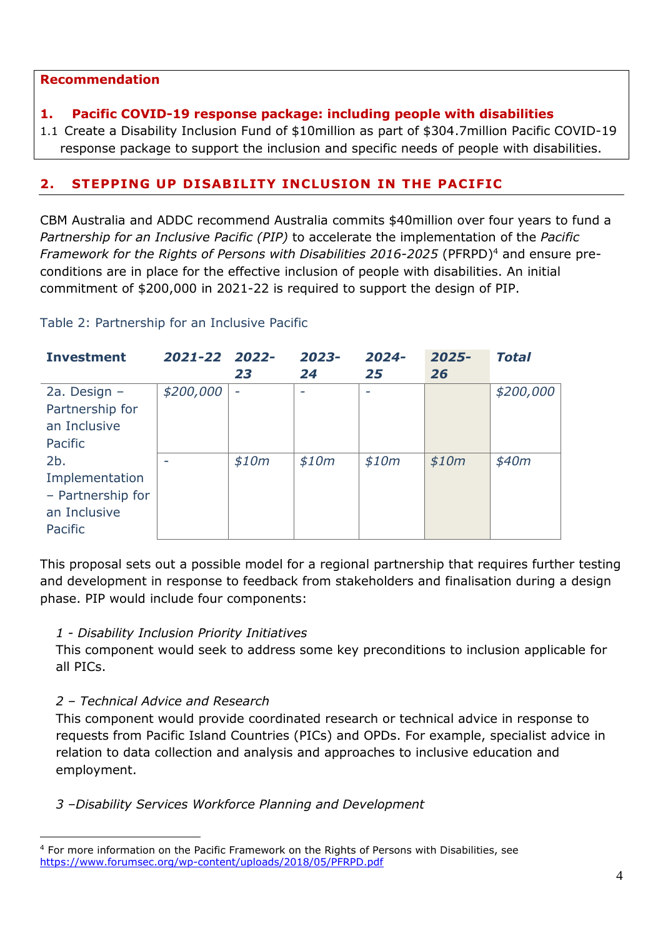#### **Recommendation**

### **1. Pacific COVID-19 response package: including people with disabilities**

1.1 Create a Disability Inclusion Fund of \$10million as part of \$304.7million Pacific COVID-19 response package to support the inclusion and specific needs of people with disabilities.

## **2. STEPPING UP DISABILITY INCLUSION IN THE PACIFIC**

CBM Australia and ADDC recommend Australia commits \$40million over four years to fund a *Partnership for an Inclusive Pacific (PIP)* to accelerate the implementation of the *Pacific Framework for the Rights of Persons with Disabilities 2016-2025* (PFRPD)<sup>4</sup> and ensure preconditions are in place for the effective inclusion of people with disabilities. An initial commitment of \$200,000 in 2021-22 is required to support the design of PIP.

| <b>Investment</b> | 2021-22 2022- | 23                       | 2023-<br>24 | 2024-<br>25 | $2025 -$<br>26 | <b>Total</b> |
|-------------------|---------------|--------------------------|-------------|-------------|----------------|--------------|
| 2a. Design $-$    | \$200,000     | $\overline{\phantom{a}}$ | ٠           |             |                | \$200,000    |
| Partnership for   |               |                          |             |             |                |              |
| an Inclusive      |               |                          |             |             |                |              |
| Pacific           |               |                          |             |             |                |              |
| 2b.               |               | \$10m                    | \$10m       | \$10m       | \$10m          | \$40m        |
| Implementation    |               |                          |             |             |                |              |
| - Partnership for |               |                          |             |             |                |              |
| an Inclusive      |               |                          |             |             |                |              |
| Pacific           |               |                          |             |             |                |              |

Table 2: Partnership for an Inclusive Pacific

This proposal sets out a possible model for a regional partnership that requires further testing and development in response to feedback from stakeholders and finalisation during a design phase. PIP would include four components:

### *1 - Disability Inclusion Priority Initiatives*

This component would seek to address some key preconditions to inclusion applicable for all PICs.

### *2 – Technical Advice and Research*

1

This component would provide coordinated research or technical advice in response to requests from Pacific Island Countries (PICs) and OPDs. For example, specialist advice in relation to data collection and analysis and approaches to inclusive education and employment.

### *3 –Disability Services Workforce Planning and Development*

<sup>4</sup> For more information on the Pacific Framework on the Rights of Persons with Disabilities, see <https://www.forumsec.org/wp-content/uploads/2018/05/PFRPD.pdf>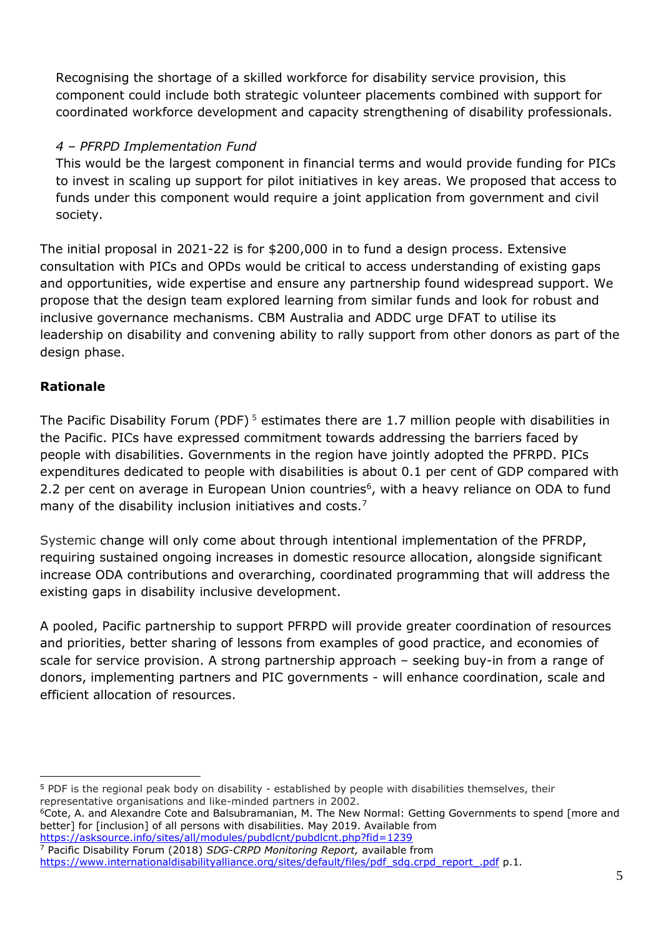Recognising the shortage of a skilled workforce for disability service provision, this component could include both strategic volunteer placements combined with support for coordinated workforce development and capacity strengthening of disability professionals.

# *4 – PFRPD Implementation Fund*

This would be the largest component in financial terms and would provide funding for PICs to invest in scaling up support for pilot initiatives in key areas. We proposed that access to funds under this component would require a joint application from government and civil society.

The initial proposal in 2021-22 is for \$200,000 in to fund a design process. Extensive consultation with PICs and OPDs would be critical to access understanding of existing gaps and opportunities, wide expertise and ensure any partnership found widespread support. We propose that the design team explored learning from similar funds and look for robust and inclusive governance mechanisms. CBM Australia and ADDC urge DFAT to utilise its leadership on disability and convening ability to rally support from other donors as part of the design phase.

# **Rationale**

The Pacific Disability Forum (PDF)<sup>5</sup> estimates there are 1.7 million people with disabilities in the Pacific. PICs have expressed commitment towards addressing the barriers faced by people with disabilities. Governments in the region have jointly adopted the PFRPD. PICs expenditures dedicated to people with disabilities is about 0.1 per cent of GDP compared with 2.2 per cent on average in European Union countries<sup>6</sup>, with a heavy reliance on ODA to fund many of the disability inclusion initiatives and costs.<sup>7</sup>

Systemic change will only come about through intentional implementation of the PFRDP, requiring sustained ongoing increases in domestic resource allocation, alongside significant increase ODA contributions and overarching, coordinated programming that will address the existing gaps in disability inclusive development.

A pooled, Pacific partnership to support PFRPD will provide greater coordination of resources and priorities, better sharing of lessons from examples of good practice, and economies of scale for service provision. A strong partnership approach – seeking buy-in from a range of donors, implementing partners and PIC governments - will enhance coordination, scale and efficient allocation of resources.

<sup>6</sup>Cote, A. and Alexandre Cote and Balsubramanian, M. The New Normal: Getting Governments to spend [more and better] for [inclusion] of all persons with disabilities. May 2019. Available from <https://asksource.info/sites/all/modules/pubdlcnt/pubdlcnt.php?fid=1239>

<sup>1</sup> <sup>5</sup> PDF is the regional peak body on disability - established by people with disabilities themselves, their representative organisations and like-minded partners in 2002.

<sup>7</sup> Pacific Disability Forum (2018) *SDG-CRPD Monitoring Report,* available from https://www.internationaldisabilityalliance.org/sites/default/files/pdf\_sdq.crpd\_report\_.pdf p.1*.*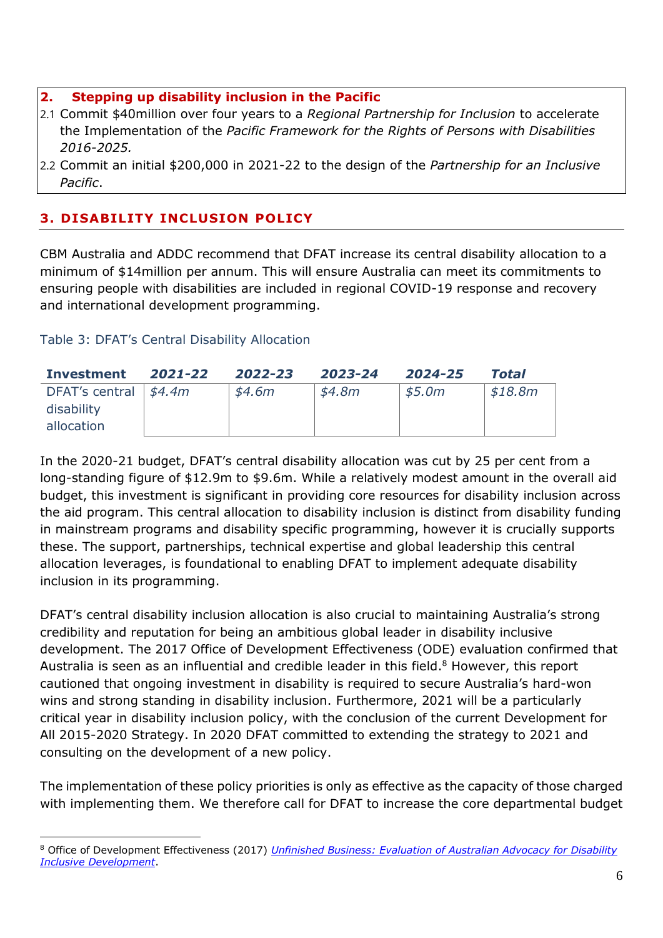#### **2. Stepping up disability inclusion in the Pacific**

- 2.1 Commit \$40million over four years to a *Regional Partnership for Inclusion* to accelerate the Implementation of the *Pacific Framework for the Rights of Persons with Disabilities 2016-2025.*
- 2.2 Commit an initial \$200,000 in 2021-22 to the design of the *Partnership for an Inclusive Pacific*.

# **3. DISABILITY INCLUSION POLICY**

CBM Australia and ADDC recommend that DFAT increase its central disability allocation to a minimum of \$14million per annum. This will ensure Australia can meet its commitments to ensuring people with disabilities are included in regional COVID-19 response and recovery and international development programming.

## Table 3: DFAT's Central Disability Allocation

1

| Investment                       | 2021-22 | 2022-23 | 2023-24  | 2024-25 | Total   |
|----------------------------------|---------|---------|----------|---------|---------|
| DFAT's central $\frac{44.4m}{ }$ |         | \$4.6m  | \$4.8m\$ | \$5.0m  | \$18.8m |
| disability                       |         |         |          |         |         |
| allocation                       |         |         |          |         |         |

In the 2020-21 budget, DFAT's central disability allocation was cut by 25 per cent from a long-standing figure of \$12.9m to \$9.6m. While a relatively modest amount in the overall aid budget, this investment is significant in providing core resources for disability inclusion across the aid program. This central allocation to disability inclusion is distinct from disability funding in mainstream programs and disability specific programming, however it is crucially supports these. The support, partnerships, technical expertise and global leadership this central allocation leverages, is foundational to enabling DFAT to implement adequate disability inclusion in its programming.

DFAT's central disability inclusion allocation is also crucial to maintaining Australia's strong credibility and reputation for being an ambitious global leader in disability inclusive development. The 2017 Office of Development Effectiveness (ODE) evaluation confirmed that Australia is seen as an influential and credible leader in this field. <sup>8</sup> However, this report cautioned that ongoing investment in disability is required to secure Australia's hard-won wins and strong standing in disability inclusion. Furthermore, 2021 will be a particularly critical year in disability inclusion policy, with the conclusion of the current Development for All 2015-2020 Strategy. In 2020 DFAT committed to extending the strategy to 2021 and consulting on the development of a new policy.

The implementation of these policy priorities is only as effective as the capacity of those charged with implementing them. We therefore call for DFAT to increase the core departmental budget

<sup>8</sup> Office of Development Effectiveness (2017) *[Unfinished Business: Evaluation of Australian Advocacy for Disability](https://www.dfat.gov.au/sites/default/files/evaluation-australian-advocacy-disability-inclusive-development.pdf) [Inclusive Development](https://www.dfat.gov.au/sites/default/files/evaluation-australian-advocacy-disability-inclusive-development.pdf)*.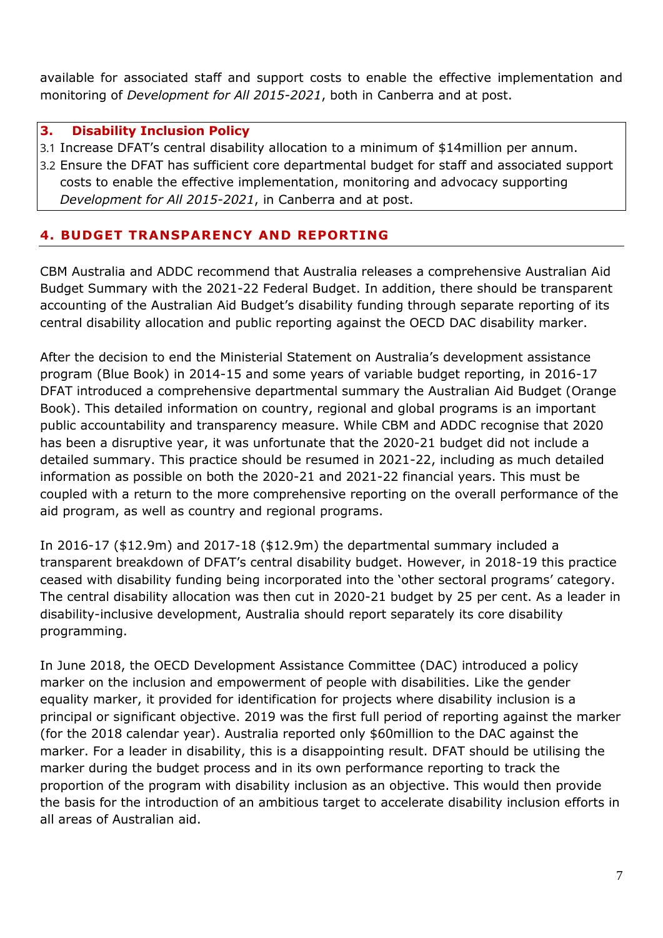available for associated staff and support costs to enable the effective implementation and monitoring of *Development for All 2015-2021*, both in Canberra and at post.

#### **3. Disability Inclusion Policy**

3.1 Increase DFAT's central disability allocation to a minimum of \$14million per annum.

3.2 Ensure the DFAT has sufficient core departmental budget for staff and associated support costs to enable the effective implementation, monitoring and advocacy supporting *Development for All 2015-2021*, in Canberra and at post.

# **4. BUDGET TRANSPARENCY AND REPORTING**

CBM Australia and ADDC recommend that Australia releases a comprehensive Australian Aid Budget Summary with the 2021-22 Federal Budget. In addition, there should be transparent accounting of the Australian Aid Budget's disability funding through separate reporting of its central disability allocation and public reporting against the OECD DAC disability marker.

After the decision to end the Ministerial Statement on Australia's development assistance program (Blue Book) in 2014-15 and some years of variable budget reporting, in 2016-17 DFAT introduced a comprehensive departmental summary the Australian Aid Budget (Orange Book). This detailed information on country, regional and global programs is an important public accountability and transparency measure. While CBM and ADDC recognise that 2020 has been a disruptive year, it was unfortunate that the 2020-21 budget did not include a detailed summary. This practice should be resumed in 2021-22, including as much detailed information as possible on both the 2020-21 and 2021-22 financial years. This must be coupled with a return to the more comprehensive reporting on the overall performance of the aid program, as well as country and regional programs.

In 2016-17 (\$12.9m) and 2017-18 (\$12.9m) the departmental summary included a transparent breakdown of DFAT's central disability budget. However, in 2018-19 this practice ceased with disability funding being incorporated into the 'other sectoral programs' category. The central disability allocation was then cut in 2020-21 budget by 25 per cent. As a leader in disability-inclusive development, Australia should report separately its core disability programming.

In June 2018, the OECD Development Assistance Committee (DAC) introduced a policy marker on the inclusion and empowerment of people with disabilities. Like the gender equality marker, it provided for identification for projects where disability inclusion is a principal or significant objective. 2019 was the first full period of reporting against the marker (for the 2018 calendar year). Australia reported only \$60million to the DAC against the marker. For a leader in disability, this is a disappointing result. DFAT should be utilising the marker during the budget process and in its own performance reporting to track the proportion of the program with disability inclusion as an objective. This would then provide the basis for the introduction of an ambitious target to accelerate disability inclusion efforts in all areas of Australian aid.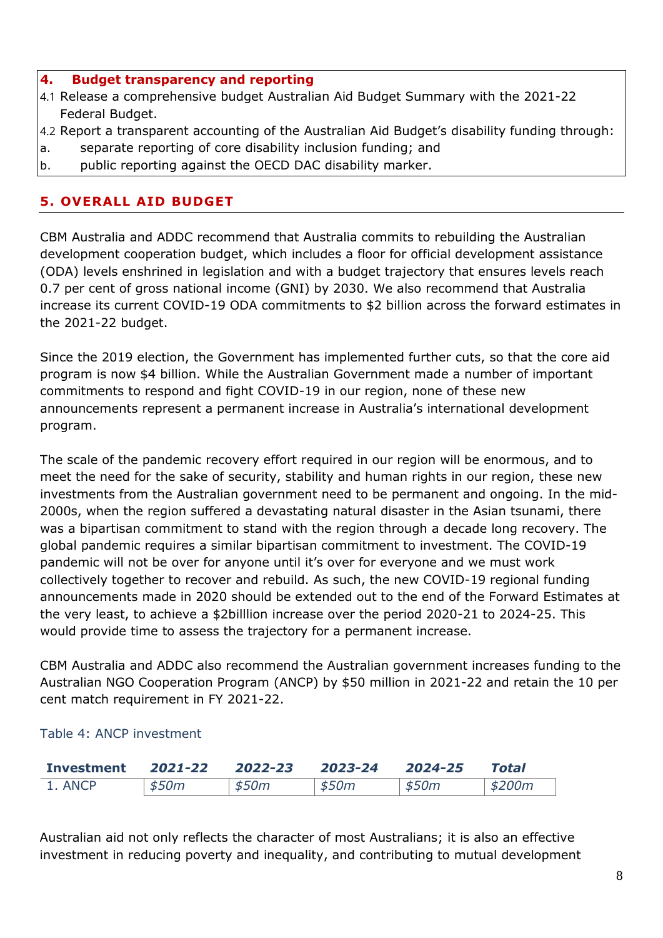#### **4. Budget transparency and reporting**

- 4.1 Release a comprehensive budget Australian Aid Budget Summary with the 2021-22 Federal Budget.
- 4.2 Report a transparent accounting of the Australian Aid Budget's disability funding through:
- a. separate reporting of core disability inclusion funding; and
- b. public reporting against the OECD DAC disability marker.

### **5. OVERALL AID BUDGET**

CBM Australia and ADDC recommend that Australia commits to rebuilding the Australian development cooperation budget, which includes a floor for official development assistance (ODA) levels enshrined in legislation and with a budget trajectory that ensures levels reach 0.7 per cent of gross national income (GNI) by 2030. We also recommend that Australia increase its current COVID-19 ODA commitments to \$2 billion across the forward estimates in the 2021-22 budget.

Since the 2019 election, the Government has implemented further cuts, so that the core aid program is now \$4 billion. While the Australian Government made a number of important commitments to respond and fight COVID-19 in our region, none of these new announcements represent a permanent increase in Australia's international development program.

The scale of the pandemic recovery effort required in our region will be enormous, and to meet the need for the sake of security, stability and human rights in our region, these new investments from the Australian government need to be permanent and ongoing. In the mid-2000s, when the region suffered a devastating natural disaster in the Asian tsunami, there was a bipartisan commitment to stand with the region through a decade long recovery. The global pandemic requires a similar bipartisan commitment to investment. The COVID-19 pandemic will not be over for anyone until it's over for everyone and we must work collectively together to recover and rebuild. As such, the new COVID-19 regional funding announcements made in 2020 should be extended out to the end of the Forward Estimates at the very least, to achieve a \$2billlion increase over the period 2020-21 to 2024-25. This would provide time to assess the trajectory for a permanent increase.

CBM Australia and ADDC also recommend the Australian government increases funding to the Australian NGO Cooperation Program (ANCP) by \$50 million in 2021-22 and retain the 10 per cent match requirement in FY 2021-22.

#### Table 4: ANCP investment

| Investment | 2021-22 | 2022-23 | 2023-24 | 2024-25 | Total    |
|------------|---------|---------|---------|---------|----------|
| 1. ANCP    | \$50m   | \$50m   | \$50m   | \$50m   | ' \$200m |

Australian aid not only reflects the character of most Australians; it is also an effective investment in reducing poverty and inequality, and contributing to mutual development